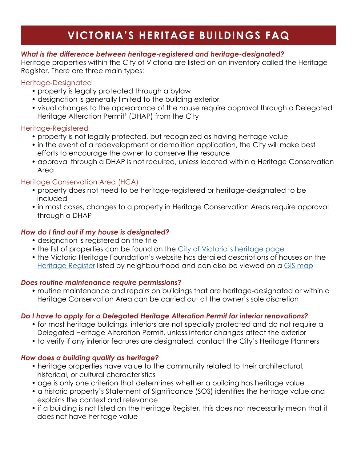# **VICTORIA'S HERITAGE BUILDINGS FAQ**

## *What is the difference between heritage-registered and heritage-designated?*

Heritage properties within the City of Victoria are listed on an inventory called the Heritage Register. There are three main types:

#### Heritage-Designated

- property is legally protected through a bylaw
- designation is generally limited to the building exterior
- visual changes to the appearance of the house require approval through a Delegated Heritage Alteration Permit<sup>1</sup> (DHAP) from the City

## Heritage-Registered

- property is not legally protected, but recognized as having heritage value
- in the event of a redevelopment or demolition application, the City will make best efforts to encourage the owner to conserve the resource
- approval through a DHAP is not required, unless located within a Heritage Conservation Area

# Heritage Conservation Area (HCA)

- property does not need to be heritage-registered or heritage-designated to be included
- in most cases, changes to a property in Heritage Conservation Areas require approval through a DHAP

# *How do I find out if my house is designated?*

- designation is registered on the title
- the list of properties can be found on the City of Victoria's heritage page
- the Victoria Heritage Foundation's website has detailed descriptions of houses on the [Heritage Register](https://www.victoriaheritagefoundation.ca/Neighbourhoods/neighbourhood.html) listed by neighbourhood and can also be viewed on a [GIS map](https://www.arcgis.com/home/webmap/viewer.html?webmap=26c6e6264181415883ca1f86b7f494c6&extent=-123.3888,48.4172,-123.3699,48.4237)

#### *Does routine maintenance require permissions?*

• routine maintenance and repairs on buildings that are heritage-designated or within a Heritage Conservation Area can be carried out at the owner's sole discretion

# *Do I have to apply for a Delegated Heritage Alteration Permit for interior renovations?*

- for most heritage buildings, interiors are not specially protected and do not require a Delegated Heritage Alteration Permit, unless interior changes affect the exterior
- to verify if any interior features are designated, contact the City's Heritage Planners

# *How does a building qualify as heritage?*

- heritage properties have value to the community related to their architectural, historical, or cultural characteristics
- age is only one criterion that determines whether a building has heritage value
- a historic property's Statement of Significance (SOS) identifies the heritage value and explains the context and relevance
- if a building is not listed on the Heritage Register, this does not necessarily mean that it does not have heritage value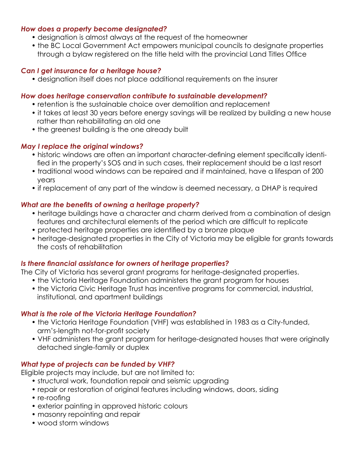#### *How does a property become designated?*

- designation is almost always at the request of the homeowner
- the BC Local Government Act empowers municipal councils to designate properties through a bylaw registered on the title held with the provincial Land Titles Office

#### *Can I get insurance for a heritage house?*

• designation itself does not place additional requirements on the insurer

#### *How does heritage conservation contribute to sustainable development?*

- retention is the sustainable choice over demolition and replacement
- it takes at least 30 years before energy savings will be realized by building a new house rather than rehabilitating an old one
- the greenest building is the one already built

#### *May I replace the original windows?*

- historic windows are often an important character-defining element specifically identi fied in the property's SOS and in such cases, their replacement should be a last resort
- traditional wood windows can be repaired and if maintained, have a lifespan of 200 years
- if replacement of any part of the window is deemed necessary, a DHAP is required

## *What are the benefits of owning a heritage property?*

- heritage buildings have a character and charm derived from a combination of design features and architectural elements of the period which are difficult to replicate
- protected heritage properties are identified by a bronze plaque
- heritage-designated properties in the City of Victoria may be eligible for grants towards the costs of rehabilitation

# *Is there financial assistance for owners of heritage properties?*

The City of Victoria has several grant programs for heritage-designated properties.

- the Victoria Heritage Foundation administers the grant program for houses
- the Victoria Civic Heritage Trust has incentive programs for commercial, industrial, institutional, and apartment buildings

#### *What is the role of the Victoria Heritage Foundation?*

- the Victoria Heritage Foundation (VHF) was established in 1983 as a City-funded, arm's-length not-for-profit society
- VHF administers the grant program for heritage-designated houses that were originally detached single-family or duplex

# *What type of projects can be funded by VHF?*

Eligible projects may include, but are not limited to:

- structural work, foundation repair and seismic upgrading
- repair or restoration of original features including windows, doors, siding
- re-roofing
- exterior painting in approved historic colours
- masonry repointing and repair
- wood storm windows